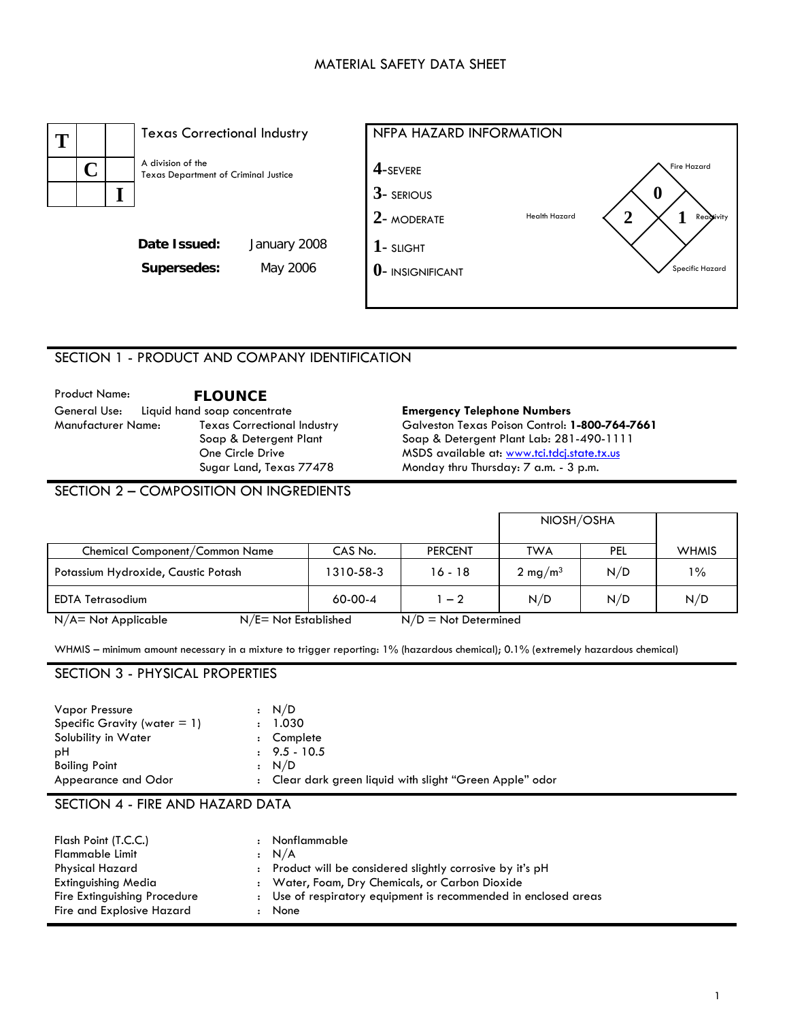## MATERIAL SAFETY DATA SHEET



## SECTION 1 - PRODUCT AND COMPANY IDENTIFICATION

Product Name: **FLOUNCE**  Manufacturer Name: Texas Correctional Industry Soap & Detergent Plant One Circle Drive Sugar Land, Texas 77478

#### **Emergency Telephone Numbers**

Galveston Texas Poison Control: **1-800-764-7661**  Soap & Detergent Plant Lab: 281-490-1111 MSDS available at: [www.tci.tdcj.state.tx.us](http://www.tci.tdcj.state.tx.us/) Monday thru Thursday: 7 a.m. - 3 p.m.

# SECTION 2 – COMPOSITION ON INGREDIENTS

|                                                   |                        |                | NIOSH/OSHA          |     |              |
|---------------------------------------------------|------------------------|----------------|---------------------|-----|--------------|
| Chemical Component/Common Name                    | CAS No.                | <b>PERCENT</b> | TWA                 | PEL | <b>WHMIS</b> |
| Potassium Hydroxide, Caustic Potash               | 1310-58-3              | $16 - 18$      | 2 mg/m <sup>3</sup> | N/D | $1\%$        |
| <b>EDTA Tetrasodium</b>                           | $60-00-4$              | $1 - 2$        | N/D                 | N/D | N/D          |
| $N/E = Not$ Established<br>$N/A$ = Not Applicable | $N/D = Not$ Determined |                |                     |     |              |

WHMIS – minimum amount necessary in a mixture to trigger reporting: 1% (hazardous chemical); 0.1% (extremely hazardous chemical)

### SECTION 3 - PHYSICAL PROPERTIES

| <b>Vapor Pressure</b>           | $\cdot$ N/D                                              |
|---------------------------------|----------------------------------------------------------|
| Specific Gravity (water $= 1$ ) | : 1.030                                                  |
| Solubility in Water             | : Complete                                               |
| рH                              | $\pm$ 9.5 - 10.5                                         |
| <b>Boiling Point</b>            | : N/D                                                    |
| Appearance and Odor             | : Clear dark green liquid with slight "Green Apple" odor |

# SECTION 4 - FIRE AND HAZARD DATA

| Flash Point (T.C.C.)<br><b>Flammable Limit</b><br>Physical Hazard                | Nonflammable<br>: N/A<br>: Product will be considered slightly corrosive by it's pH                                        |
|----------------------------------------------------------------------------------|----------------------------------------------------------------------------------------------------------------------------|
| Extinguishing Media<br>Fire Extinguishing Procedure<br>Fire and Explosive Hazard | : Water, Foam, Dry Chemicals, or Carbon Dioxide<br>: Use of respiratory equipment is recommended in enclosed areas<br>None |